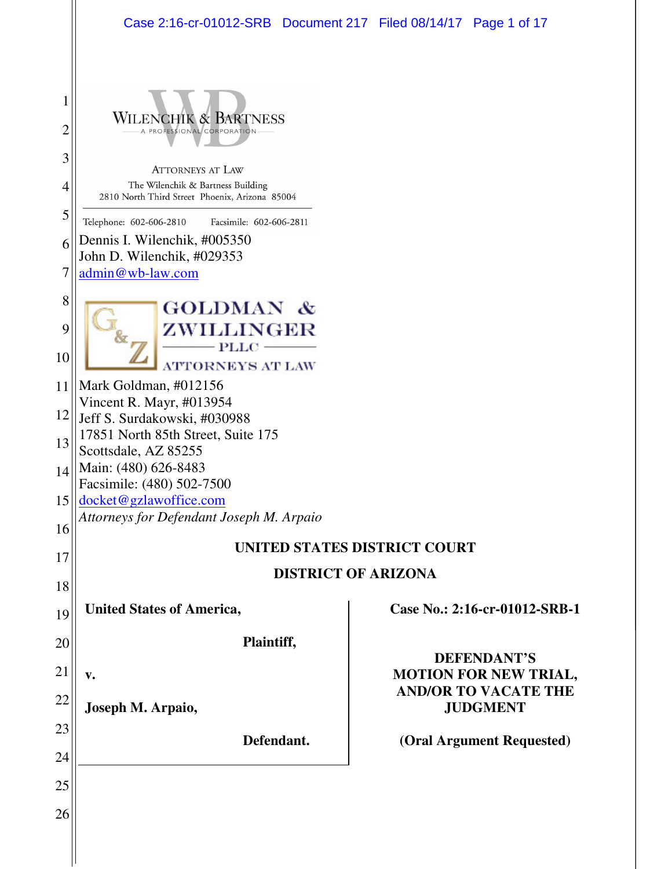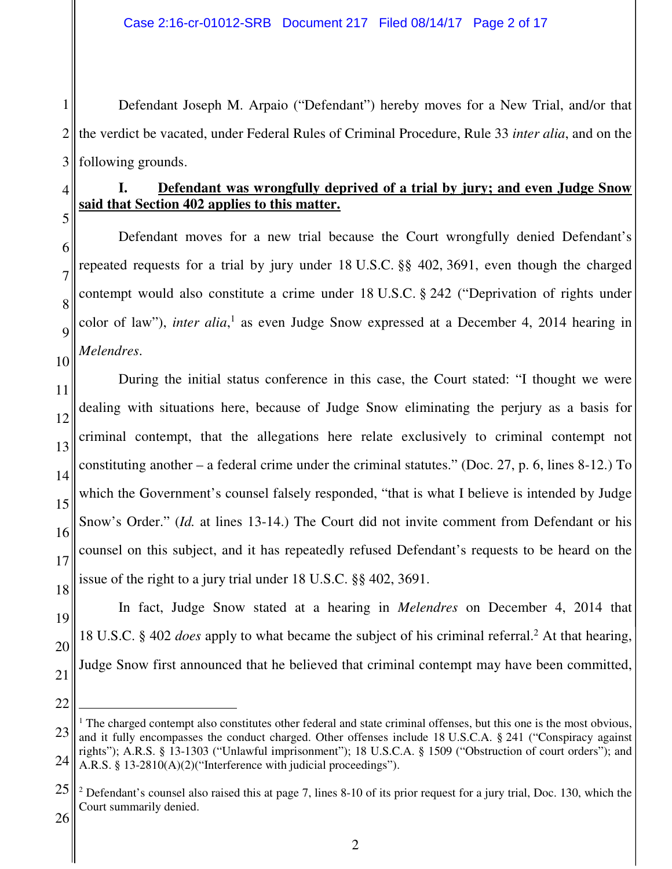1 2 3 Defendant Joseph M. Arpaio ("Defendant") hereby moves for a New Trial, and/or that the verdict be vacated, under Federal Rules of Criminal Procedure, Rule 33 *inter alia*, and on the following grounds.

# 4

5

6

7

8

9

10

## **I. Defendant was wrongfully deprived of a trial by jury; and even Judge Snow said that Section 402 applies to this matter.**

Defendant moves for a new trial because the Court wrongfully denied Defendant's repeated requests for a trial by jury under 18 U.S.C. §§ 402, 3691, even though the charged contempt would also constitute a crime under 18 U.S.C. § 242 ("Deprivation of rights under color of law"), *inter alia*,<sup>1</sup> as even Judge Snow expressed at a December 4, 2014 hearing in *Melendres*.

11 12 13 14 15 16 17 18 During the initial status conference in this case, the Court stated: "I thought we were dealing with situations here, because of Judge Snow eliminating the perjury as a basis for criminal contempt, that the allegations here relate exclusively to criminal contempt not constituting another – a federal crime under the criminal statutes." (Doc. 27, p. 6, lines 8-12.) To which the Government's counsel falsely responded, "that is what I believe is intended by Judge Snow's Order." *(Id. at lines 13-14.)* The Court did not invite comment from Defendant or his counsel on this subject, and it has repeatedly refused Defendant's requests to be heard on the issue of the right to a jury trial under 18 U.S.C. §§ 402, 3691.

20

21

In fact, Judge Snow stated at a hearing in *Melendres* on December 4, 2014 that 18 U.S.C. § 402 *does* apply to what became the subject of his criminal referral.<sup>2</sup> At that hearing, Judge Snow first announced that he believed that criminal contempt may have been committed,

22

 $\overline{a}$ 

<sup>23</sup> 24 <sup>1</sup> The charged contempt also constitutes other federal and state criminal offenses, but this one is the most obvious, and it fully encompasses the conduct charged. Other offenses include 18 U.S.C.A. § 241 ("Conspiracy against rights"); A.R.S. § 13-1303 ("Unlawful imprisonment"); 18 U.S.C.A. § 1509 ("Obstruction of court orders"); and A.R.S. § 13-2810(A)(2)("Interference with judicial proceedings").

<sup>25</sup>  $2$  Defendant's counsel also raised this at page 7, lines 8-10 of its prior request for a jury trial, Doc. 130, which the Court summarily denied.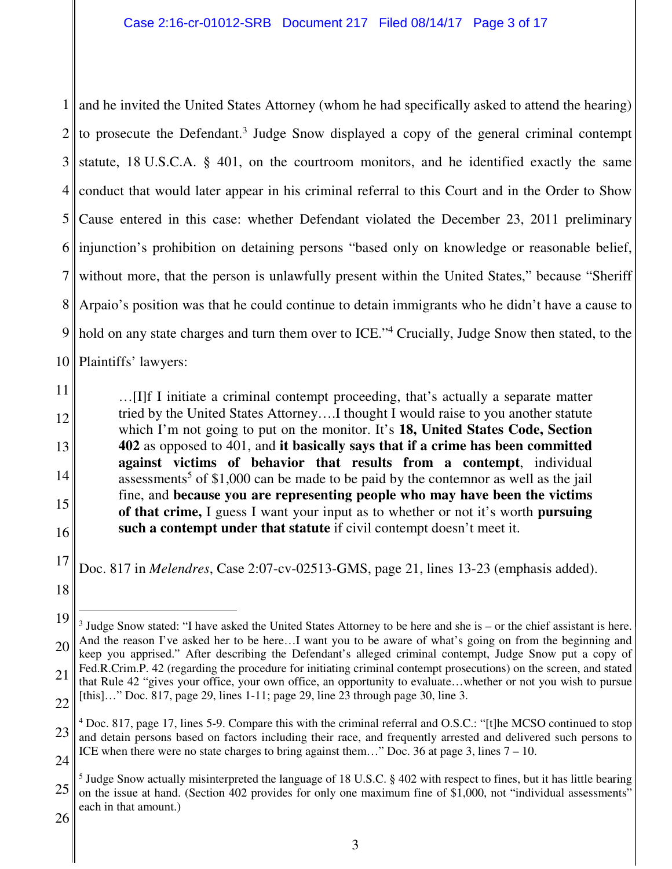1 and he invited the United States Attorney (whom he had specifically asked to attend the hearing)  $2 \parallel$  to prosecute the Defendant.<sup>3</sup> Judge Snow displayed a copy of the general criminal contempt 3 4 5 6 7 8 Arpaio's position was that he could continue to detain immigrants who he didn't have a cause to 9 10 statute, 18 U.S.C.A. § 401, on the courtroom monitors, and he identified exactly the same conduct that would later appear in his criminal referral to this Court and in the Order to Show Cause entered in this case: whether Defendant violated the December 23, 2011 preliminary injunction's prohibition on detaining persons "based only on knowledge or reasonable belief, without more, that the person is unlawfully present within the United States," because "Sheriff" hold on any state charges and turn them over to ICE."<sup>4</sup> Crucially, Judge Snow then stated, to the Plaintiffs' lawyers:

…[I]f I initiate a criminal contempt proceeding, that's actually a separate matter tried by the United States Attorney….I thought I would raise to you another statute which I'm not going to put on the monitor. It's **18, United States Code, Section 402** as opposed to 401, and **it basically says that if a crime has been committed against victims of behavior that results from a contempt**, individual assessments<sup>5</sup> of \$1,000 can be made to be paid by the contemnor as well as the jail fine, and **because you are representing people who may have been the victims of that crime,** I guess I want your input as to whether or not it's worth **pursuing such a contempt under that statute** if civil contempt doesn't meet it.

17 Doc. 817 in *Melendres*, Case 2:07-cv-02513-GMS, page 21, lines 13-23 (emphasis added).

 $\overline{a}$ 

11

12

13

14

15

<sup>18</sup>

<sup>19</sup> 20 21 22  $3$  Judge Snow stated: "I have asked the United States Attorney to be here and she is  $-$  or the chief assistant is here. And the reason I've asked her to be here…I want you to be aware of what's going on from the beginning and keep you apprised." After describing the Defendant's alleged criminal contempt, Judge Snow put a copy of Fed.R.Crim.P. 42 (regarding the procedure for initiating criminal contempt prosecutions) on the screen, and stated that Rule 42 "gives your office, your own office, an opportunity to evaluate…whether or not you wish to pursue [this]..." Doc. 817, page 29, lines 1-11; page 29, line 23 through page 30, line 3.

<sup>23</sup> 24 <sup>4</sup> Doc. 817, page 17, lines 5-9. Compare this with the criminal referral and O.S.C.: "[t]he MCSO continued to stop and detain persons based on factors including their race, and frequently arrested and delivered such persons to ICE when there were no state charges to bring against them..." Doc. 36 at page 3, lines  $7 - 10$ .

<sup>25</sup> <sup>5</sup> Judge Snow actually misinterpreted the language of 18 U.S.C. § 402 with respect to fines, but it has little bearing on the issue at hand. (Section 402 provides for only one maximum fine of \$1,000, not "individual assessments" each in that amount.)

<sup>26</sup>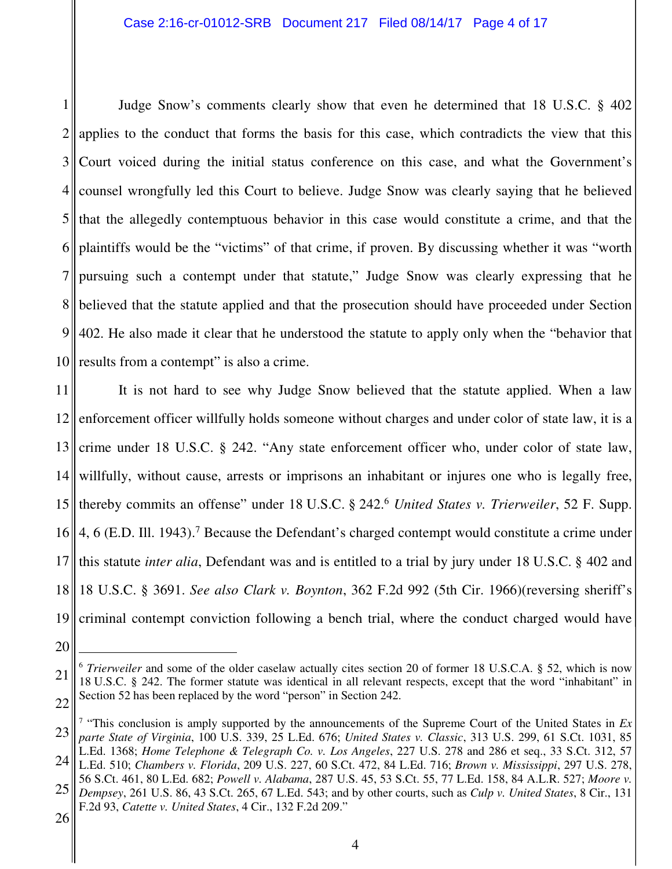1 2 3 4 5 6 7 8 9 10 Judge Snow's comments clearly show that even he determined that 18 U.S.C. § 402 applies to the conduct that forms the basis for this case, which contradicts the view that this Court voiced during the initial status conference on this case, and what the Government's counsel wrongfully led this Court to believe. Judge Snow was clearly saying that he believed that the allegedly contemptuous behavior in this case would constitute a crime, and that the plaintiffs would be the "victims" of that crime, if proven. By discussing whether it was "worth pursuing such a contempt under that statute," Judge Snow was clearly expressing that he believed that the statute applied and that the prosecution should have proceeded under Section 402. He also made it clear that he understood the statute to apply only when the "behavior that results from a contempt" is also a crime.

11 12 13 14 15 16 4, 6 (E.D. Ill. 1943).<sup>7</sup> Because the Defendant's charged contempt would constitute a crime under 17 18 19 It is not hard to see why Judge Snow believed that the statute applied. When a law enforcement officer willfully holds someone without charges and under color of state law, it is a crime under 18 U.S.C. § 242. "Any state enforcement officer who, under color of state law, willfully, without cause, arrests or imprisons an inhabitant or injures one who is legally free, thereby commits an offense" under 18 U.S.C. § 242.<sup>6</sup> *United States v. Trierweiler*, 52 F. Supp. this statute *inter alia*, Defendant was and is entitled to a trial by jury under 18 U.S.C. § 402 and 18 U.S.C. § 3691. *See also Clark v. Boynton*, 362 F.2d 992 (5th Cir. 1966)(reversing sheriff's criminal contempt conviction following a bench trial, where the conduct charged would have

20

 $\overline{a}$ 

<sup>21</sup> 22 <sup>6</sup> *Trierweiler* and some of the older caselaw actually cites section 20 of former 18 U.S.C.A. § 52, which is now 18 U.S.C. § 242. The former statute was identical in all relevant respects, except that the word "inhabitant" in Section 52 has been replaced by the word "person" in Section 242.

<sup>23</sup> 24 <sup>7</sup> "This conclusion is amply supported by the announcements of the Supreme Court of the United States in  $Ex$ *parte State of Virginia*, 100 U.S. 339, 25 L.Ed. 676; *United States v. Classic*, 313 U.S. 299, 61 S.Ct. 1031, 85 L.Ed. 1368; *Home Telephone & Telegraph Co. v. Los Angeles*, 227 U.S. 278 and 286 et seq., 33 S.Ct. 312, 57

L.Ed. 510; *Chambers v. Florida*, 209 U.S. 227, 60 S.Ct. 472, 84 L.Ed. 716; *Brown v. Mississippi*, 297 U.S. 278, 56 S.Ct. 461, 80 L.Ed. 682; *Powell v. Alabama*, 287 U.S. 45, 53 S.Ct. 55, 77 L.Ed. 158, 84 A.L.R. 527; *Moore v.* 

<sup>25</sup> *Dempsey*, 261 U.S. 86, 43 S.Ct. 265, 67 L.Ed. 543; and by other courts, such as *Culp v. United States*, 8 Cir., 131 F.2d 93, *Catette v. United States*, 4 Cir., 132 F.2d 209."

<sup>26</sup>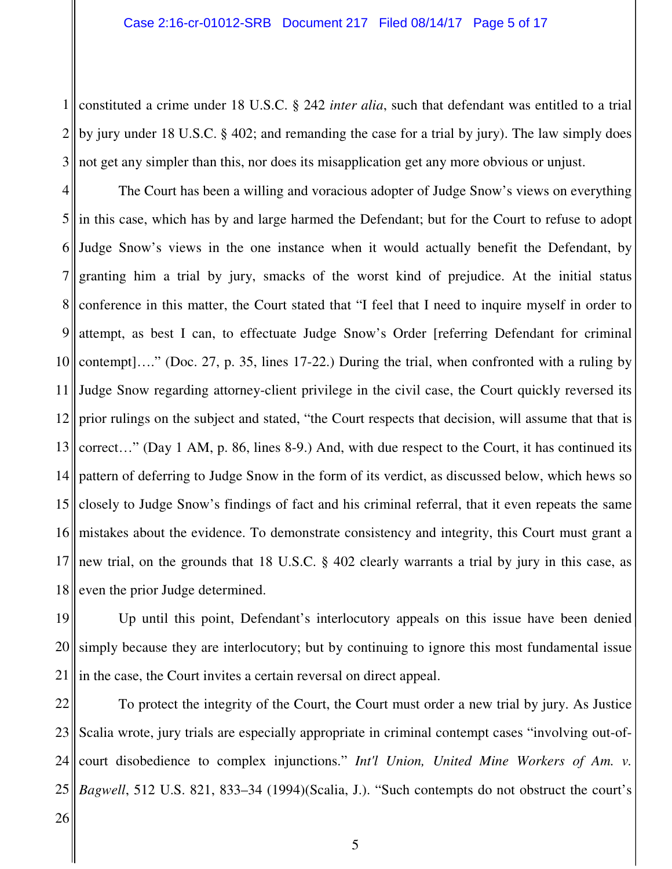1 constituted a crime under 18 U.S.C. § 242 *inter alia*, such that defendant was entitled to a trial  $2<sub>1</sub>$ 3 by jury under 18 U.S.C. § 402; and remanding the case for a trial by jury). The law simply does not get any simpler than this, nor does its misapplication get any more obvious or unjust.

4 5 in this case, which has by and large harmed the Defendant; but for the Court to refuse to adopt 6 7 8 9 10 11 12 13 14 15 16 17 18 The Court has been a willing and voracious adopter of Judge Snow's views on everything Judge Snow's views in the one instance when it would actually benefit the Defendant, by granting him a trial by jury, smacks of the worst kind of prejudice. At the initial status conference in this matter, the Court stated that "I feel that I need to inquire myself in order to attempt, as best I can, to effectuate Judge Snow's Order [referring Defendant for criminal contempt]…." (Doc. 27, p. 35, lines 17-22.) During the trial, when confronted with a ruling by Judge Snow regarding attorney-client privilege in the civil case, the Court quickly reversed its prior rulings on the subject and stated, "the Court respects that decision, will assume that that is correct…" (Day 1 AM, p. 86, lines 8-9.) And, with due respect to the Court, it has continued its pattern of deferring to Judge Snow in the form of its verdict, as discussed below, which hews so closely to Judge Snow's findings of fact and his criminal referral, that it even repeats the same mistakes about the evidence. To demonstrate consistency and integrity, this Court must grant a new trial, on the grounds that 18 U.S.C. § 402 clearly warrants a trial by jury in this case, as even the prior Judge determined.

19 20 21 Up until this point, Defendant's interlocutory appeals on this issue have been denied simply because they are interlocutory; but by continuing to ignore this most fundamental issue in the case, the Court invites a certain reversal on direct appeal.

22 23 24  $25$ To protect the integrity of the Court, the Court must order a new trial by jury. As Justice Scalia wrote, jury trials are especially appropriate in criminal contempt cases "involving out-ofcourt disobedience to complex injunctions." *Int'l Union, United Mine Workers of Am. v. Bagwell*, 512 U.S. 821, 833–34 (1994)(Scalia, J.). "Such contempts do not obstruct the court's

26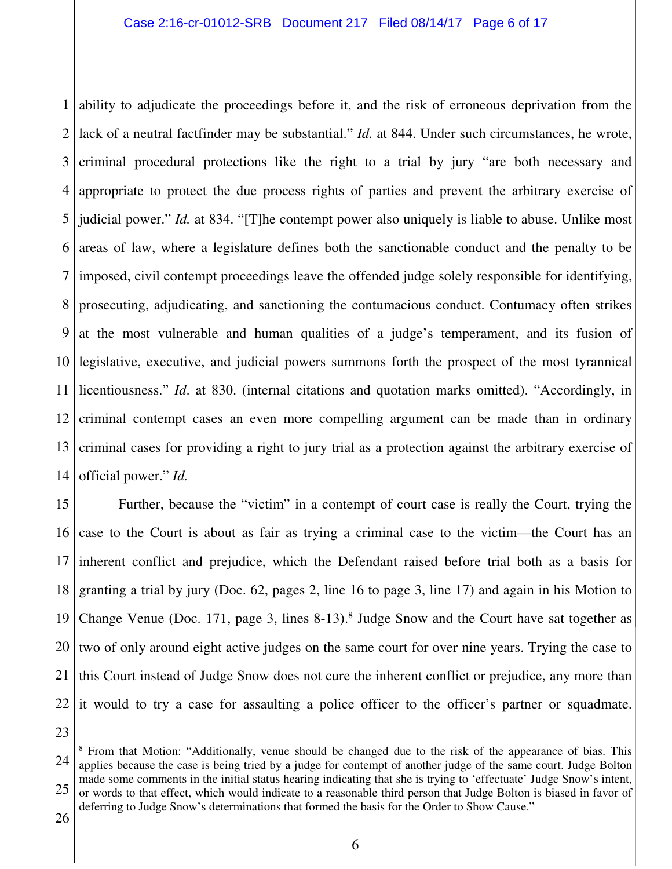1 ability to adjudicate the proceedings before it, and the risk of erroneous deprivation from the  $2\parallel$ 3 4 5 6 7 8 9 10 11 12 13 14 lack of a neutral factfinder may be substantial." *Id.* at 844. Under such circumstances, he wrote, criminal procedural protections like the right to a trial by jury "are both necessary and appropriate to protect the due process rights of parties and prevent the arbitrary exercise of judicial power." *Id.* at 834. "[T]he contempt power also uniquely is liable to abuse. Unlike most areas of law, where a legislature defines both the sanctionable conduct and the penalty to be imposed, civil contempt proceedings leave the offended judge solely responsible for identifying, prosecuting, adjudicating, and sanctioning the contumacious conduct. Contumacy often strikes at the most vulnerable and human qualities of a judge's temperament, and its fusion of legislative, executive, and judicial powers summons forth the prospect of the most tyrannical licentiousness." *Id*. at 830. (internal citations and quotation marks omitted). "Accordingly, in criminal contempt cases an even more compelling argument can be made than in ordinary criminal cases for providing a right to jury trial as a protection against the arbitrary exercise of official power." *Id.* 

15 16 17 18 19 20 21 22 Further, because the "victim" in a contempt of court case is really the Court, trying the case to the Court is about as fair as trying a criminal case to the victim—the Court has an inherent conflict and prejudice, which the Defendant raised before trial both as a basis for granting a trial by jury (Doc. 62, pages 2, line 16 to page 3, line 17) and again in his Motion to Change Venue (Doc. 171, page 3, lines  $8-13$ ).<sup>8</sup> Judge Snow and the Court have sat together as two of only around eight active judges on the same court for over nine years. Trying the case to this Court instead of Judge Snow does not cure the inherent conflict or prejudice, any more than it would to try a case for assaulting a police officer to the officer's partner or squadmate.

23

 $\overline{a}$ 

<sup>24</sup> 25 <sup>8</sup> From that Motion: "Additionally, venue should be changed due to the risk of the appearance of bias. This applies because the case is being tried by a judge for contempt of another judge of the same court. Judge Bolton made some comments in the initial status hearing indicating that she is trying to 'effectuate' Judge Snow's intent, or words to that effect, which would indicate to a reasonable third person that Judge Bolton is biased in favor of deferring to Judge Snow's determinations that formed the basis for the Order to Show Cause."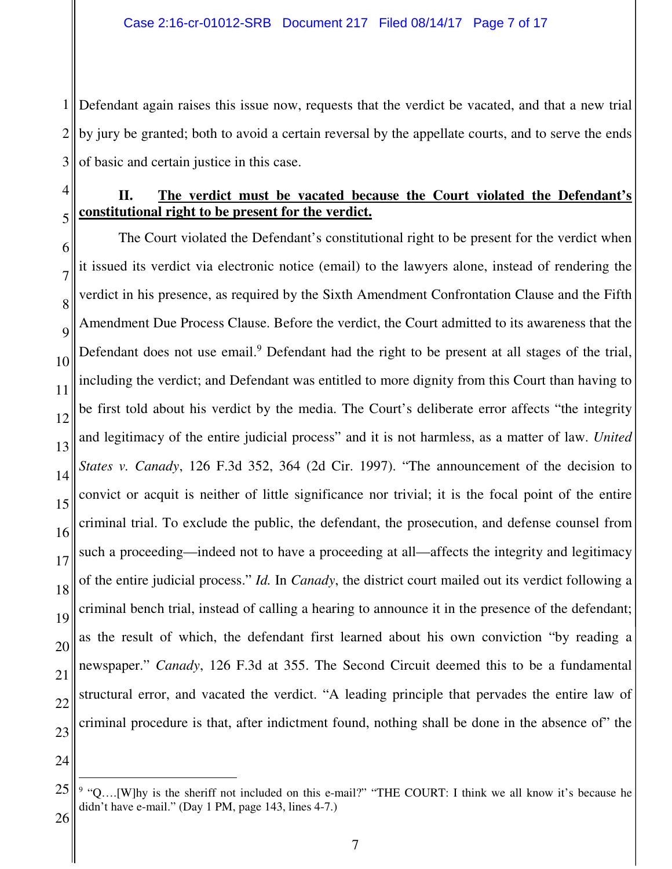1 Defendant again raises this issue now, requests that the verdict be vacated, and that a new trial 2 3 by jury be granted; both to avoid a certain reversal by the appellate courts, and to serve the ends of basic and certain justice in this case.

#### 4

5

## **II. The verdict must be vacated because the Court violated the Defendant's constitutional right to be present for the verdict.**

6 7 8  $\overline{Q}$ 10 11 12 13 14 15 16 17 18 19 20 21 22 23 The Court violated the Defendant's constitutional right to be present for the verdict when it issued its verdict via electronic notice (email) to the lawyers alone, instead of rendering the verdict in his presence, as required by the Sixth Amendment Confrontation Clause and the Fifth Amendment Due Process Clause. Before the verdict, the Court admitted to its awareness that the Defendant does not use email.<sup>9</sup> Defendant had the right to be present at all stages of the trial, including the verdict; and Defendant was entitled to more dignity from this Court than having to be first told about his verdict by the media. The Court's deliberate error affects "the integrity and legitimacy of the entire judicial process" and it is not harmless, as a matter of law. *United States v. Canady*, 126 F.3d 352, 364 (2d Cir. 1997). "The announcement of the decision to convict or acquit is neither of little significance nor trivial; it is the focal point of the entire criminal trial. To exclude the public, the defendant, the prosecution, and defense counsel from such a proceeding—indeed not to have a proceeding at all—affects the integrity and legitimacy of the entire judicial process." *Id.* In *Canady*, the district court mailed out its verdict following a criminal bench trial, instead of calling a hearing to announce it in the presence of the defendant; as the result of which, the defendant first learned about his own conviction "by reading a newspaper." *Canady*, 126 F.3d at 355. The Second Circuit deemed this to be a fundamental structural error, and vacated the verdict. "A leading principle that pervades the entire law of criminal procedure is that, after indictment found, nothing shall be done in the absence of" the

24

 $\overline{a}$ 

<sup>25</sup>  $9$  "Q....[W]hy is the sheriff not included on this e-mail?" "THE COURT: I think we all know it's because he didn't have e-mail." (Day 1 PM, page 143, lines 4-7.)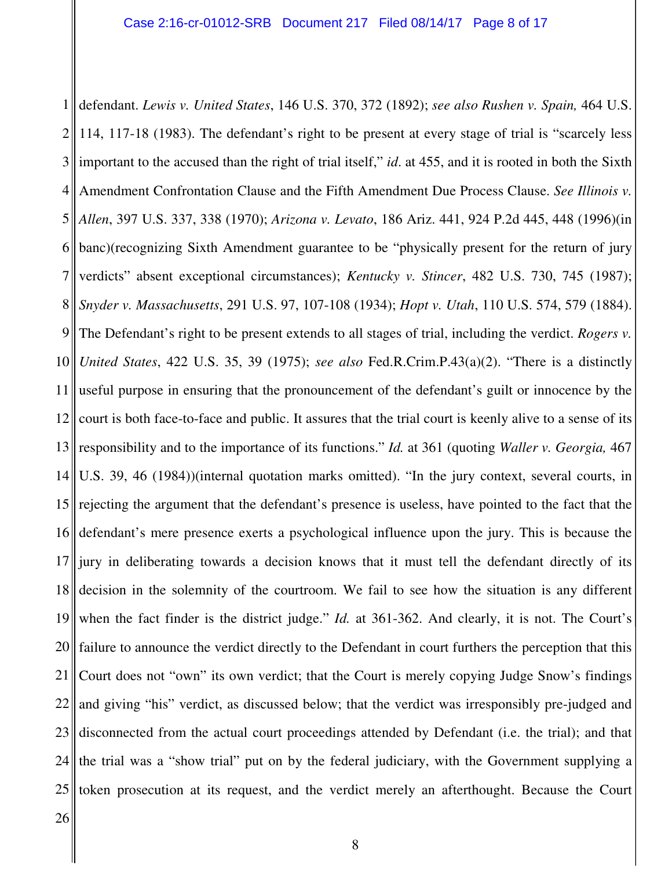1 defendant. *Lewis v. United States*, 146 U.S. 370, 372 (1892); *see also Rushen v. Spain,* 464 U.S.  $2<sub>1</sub>$ 3 4 5 6 7 8 9 10 11 12 13 14 15 16 17 18 19 20 21 22 23 24 25 114, 117-18 (1983). The defendant's right to be present at every stage of trial is "scarcely less important to the accused than the right of trial itself," *id*. at 455, and it is rooted in both the Sixth Amendment Confrontation Clause and the Fifth Amendment Due Process Clause. *See Illinois v. Allen*, 397 U.S. 337, 338 (1970); *Arizona v. Levato*, 186 Ariz. 441, 924 P.2d 445, 448 (1996)(in banc)(recognizing Sixth Amendment guarantee to be "physically present for the return of jury verdicts" absent exceptional circumstances); *Kentucky v. Stincer*, 482 U.S. 730, 745 (1987); *Snyder v. Massachusetts*, 291 U.S. 97, 107-108 (1934); *Hopt v. Utah*, 110 U.S. 574, 579 (1884). The Defendant's right to be present extends to all stages of trial, including the verdict. *Rogers v. United States*, 422 U.S. 35, 39 (1975); *see also* Fed.R.Crim.P.43(a)(2). "There is a distinctly useful purpose in ensuring that the pronouncement of the defendant's guilt or innocence by the court is both face-to-face and public. It assures that the trial court is keenly alive to a sense of its responsibility and to the importance of its functions." *Id.* at 361 (quoting *Waller v. Georgia,* 467 U.S. 39, 46 (1984))(internal quotation marks omitted). "In the jury context, several courts, in rejecting the argument that the defendant's presence is useless, have pointed to the fact that the defendant's mere presence exerts a psychological influence upon the jury. This is because the jury in deliberating towards a decision knows that it must tell the defendant directly of its decision in the solemnity of the courtroom. We fail to see how the situation is any different when the fact finder is the district judge." *Id.* at 361-362. And clearly, it is not. The Court's failure to announce the verdict directly to the Defendant in court furthers the perception that this Court does not "own" its own verdict; that the Court is merely copying Judge Snow's findings and giving "his" verdict, as discussed below; that the verdict was irresponsibly pre-judged and disconnected from the actual court proceedings attended by Defendant (i.e. the trial); and that the trial was a "show trial" put on by the federal judiciary, with the Government supplying a token prosecution at its request, and the verdict merely an afterthought. Because the Court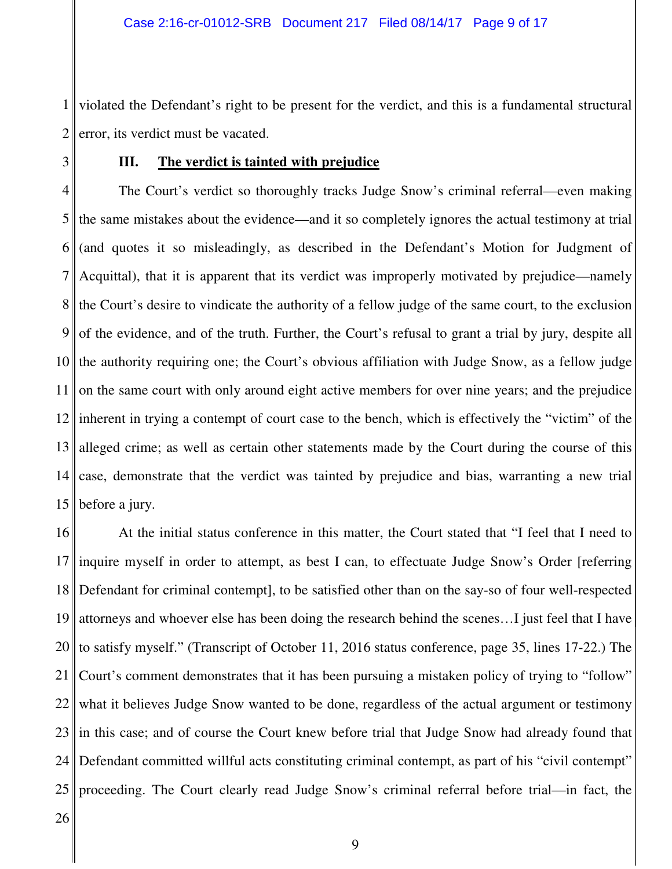1 2 violated the Defendant's right to be present for the verdict, and this is a fundamental structural error, its verdict must be vacated.

3

## **III. The verdict is tainted with prejudice**

4 5 6 7 8 9 10 11 12 13 14 15 The Court's verdict so thoroughly tracks Judge Snow's criminal referral—even making the same mistakes about the evidence—and it so completely ignores the actual testimony at trial (and quotes it so misleadingly, as described in the Defendant's Motion for Judgment of Acquittal), that it is apparent that its verdict was improperly motivated by prejudice—namely the Court's desire to vindicate the authority of a fellow judge of the same court, to the exclusion of the evidence, and of the truth. Further, the Court's refusal to grant a trial by jury, despite all the authority requiring one; the Court's obvious affiliation with Judge Snow, as a fellow judge on the same court with only around eight active members for over nine years; and the prejudice inherent in trying a contempt of court case to the bench, which is effectively the "victim" of the alleged crime; as well as certain other statements made by the Court during the course of this case, demonstrate that the verdict was tainted by prejudice and bias, warranting a new trial before a jury.

16 17 18 19 20 21 22 23 24 25 At the initial status conference in this matter, the Court stated that "I feel that I need to inquire myself in order to attempt, as best I can, to effectuate Judge Snow's Order [referring Defendant for criminal contempt], to be satisfied other than on the say-so of four well-respected attorneys and whoever else has been doing the research behind the scenes…I just feel that I have to satisfy myself." (Transcript of October 11, 2016 status conference, page 35, lines 17-22.) The Court's comment demonstrates that it has been pursuing a mistaken policy of trying to "follow" what it believes Judge Snow wanted to be done, regardless of the actual argument or testimony in this case; and of course the Court knew before trial that Judge Snow had already found that Defendant committed willful acts constituting criminal contempt, as part of his "civil contempt" proceeding. The Court clearly read Judge Snow's criminal referral before trial—in fact, the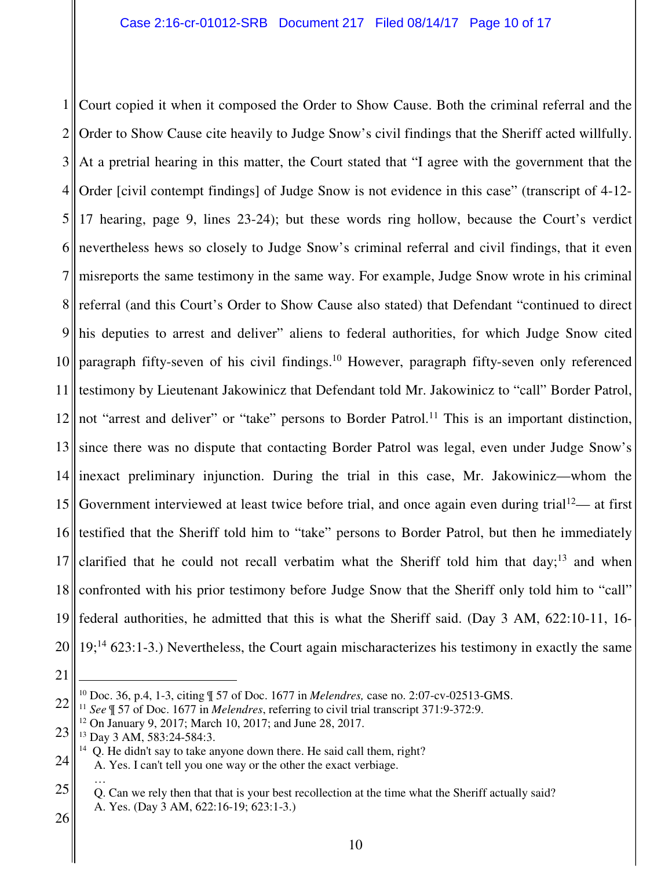1 Court copied it when it composed the Order to Show Cause. Both the criminal referral and the  $2<sub>1</sub>$ 3 At a pretrial hearing in this matter, the Court stated that "I agree with the government that the 4  $\frac{5}{3}$ 6  $7<sub>||</sub>$ 8 9 10 11 12 13 14 15 16 17 18 19  $20$  19;<sup>14</sup> 623:1-3.) Nevertheless, the Court again mischaracterizes his testimony in exactly the same Order to Show Cause cite heavily to Judge Snow's civil findings that the Sheriff acted willfully. Order [civil contempt findings] of Judge Snow is not evidence in this case" (transcript of 4-12- 17 hearing, page 9, lines 23-24); but these words ring hollow, because the Court's verdict nevertheless hews so closely to Judge Snow's criminal referral and civil findings, that it even misreports the same testimony in the same way. For example, Judge Snow wrote in his criminal referral (and this Court's Order to Show Cause also stated) that Defendant "continued to direct his deputies to arrest and deliver" aliens to federal authorities, for which Judge Snow cited paragraph fifty-seven of his civil findings.<sup>10</sup> However, paragraph fifty-seven only referenced testimony by Lieutenant Jakowinicz that Defendant told Mr. Jakowinicz to "call" Border Patrol, not "arrest and deliver" or "take" persons to Border Patrol.<sup>11</sup> This is an important distinction, since there was no dispute that contacting Border Patrol was legal, even under Judge Snow's inexact preliminary injunction. During the trial in this case, Mr. Jakowinicz—whom the Government interviewed at least twice before trial, and once again even during trial<sup>12</sup>— at first testified that the Sheriff told him to "take" persons to Border Patrol, but then he immediately clarified that he could not recall verbatim what the Sheriff told him that day;<sup>13</sup> and when confronted with his prior testimony before Judge Snow that the Sheriff only told him to "call" federal authorities, he admitted that this is what the Sheriff said. (Day 3 AM, 622:10-11, 16-

21

 $\overline{a}$ 

<sup>10</sup> Doc. 36, p.4, 1-3, citing ¶ 57 of Doc. 1677 in *Melendres,* case no. 2:07-cv-02513-GMS.

<sup>22</sup> <sup>11</sup> *See* ¶ 57 of Doc. 1677 in *Melendres*, referring to civil trial transcript 371:9-372:9.

<sup>12</sup> On January 9, 2017; March 10, 2017; and June 28, 2017.

<sup>23</sup> <sup>13</sup> Day 3 AM, 583:24-584:3.

 $14$  Q. He didn't say to take anyone down there. He said call them, right?

<sup>24</sup> A. Yes. I can't tell you one way or the other the exact verbiage.

<sup>25</sup> … Q. Can we rely then that that is your best recollection at the time what the Sheriff actually said? A. Yes. (Day 3 AM, 622:16-19; 623:1-3.)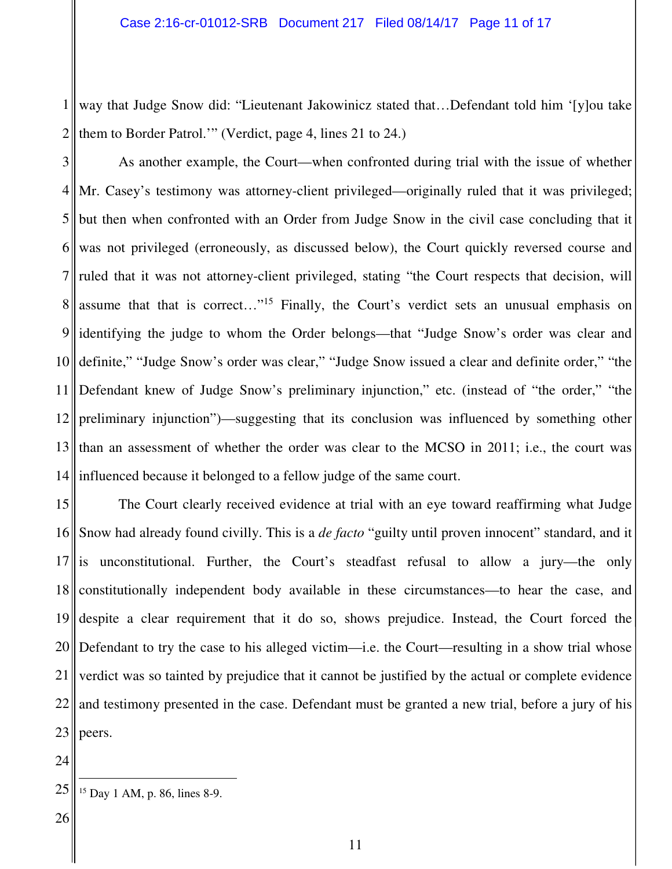1 way that Judge Snow did: "Lieutenant Jakowinicz stated that…Defendant told him '[y]ou take  $2<sub>1</sub>$ them to Border Patrol.'" (Verdict, page 4, lines 21 to 24.)

3  $4<sub>||</sub>$ 5 6  $7<sub>II</sub>$ 8 9 10 11 12 13  $14$ As another example, the Court—when confronted during trial with the issue of whether Mr. Casey's testimony was attorney-client privileged—originally ruled that it was privileged; but then when confronted with an Order from Judge Snow in the civil case concluding that it was not privileged (erroneously, as discussed below), the Court quickly reversed course and ruled that it was not attorney-client privileged, stating "the Court respects that decision, will assume that that is correct…"<sup>15</sup> Finally, the Court's verdict sets an unusual emphasis on identifying the judge to whom the Order belongs—that "Judge Snow's order was clear and definite," "Judge Snow's order was clear," "Judge Snow issued a clear and definite order," "the Defendant knew of Judge Snow's preliminary injunction," etc. (instead of "the order," "the preliminary injunction")—suggesting that its conclusion was influenced by something other than an assessment of whether the order was clear to the MCSO in 2011; i.e., the court was influenced because it belonged to a fellow judge of the same court.

15 16 17 is unconstitutional. Further, the Court's steadfast refusal to allow a jury—the only 18 19 20 Defendant to try the case to his alleged victim—i.e. the Court—resulting in a show trial whose 21 22 23 The Court clearly received evidence at trial with an eye toward reaffirming what Judge Snow had already found civilly. This is a *de facto* "guilty until proven innocent" standard, and it constitutionally independent body available in these circumstances—to hear the case, and despite a clear requirement that it do so, shows prejudice. Instead, the Court forced the verdict was so tainted by prejudice that it cannot be justified by the actual or complete evidence and testimony presented in the case. Defendant must be granted a new trial, before a jury of his peers.

 $\overline{a}$ 

<sup>24</sup>

<sup>25</sup> <sup>15</sup> Day 1 AM, p. 86, lines 8-9.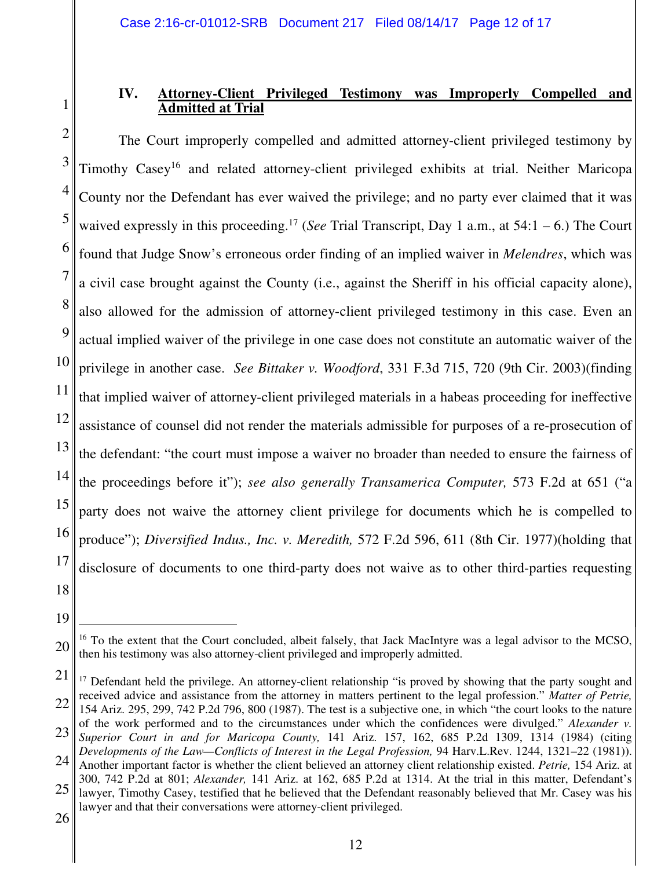## **IV. Attorney-Client Privileged Testimony was Improperly Compelled and Admitted at Trial**

2 3 4 5 6 7 8 9 10 11 12 13 14 15 16 17 18 The Court improperly compelled and admitted attorney-client privileged testimony by Timothy Casey<sup>16</sup> and related attorney-client privileged exhibits at trial. Neither Maricopa County nor the Defendant has ever waived the privilege; and no party ever claimed that it was waived expressly in this proceeding.<sup>17</sup> (*See* Trial Transcript, Day 1 a.m., at  $54:1 - 6$ .) The Court found that Judge Snow's erroneous order finding of an implied waiver in *Melendres*, which was a civil case brought against the County (i.e., against the Sheriff in his official capacity alone), also allowed for the admission of attorney-client privileged testimony in this case. Even an actual implied waiver of the privilege in one case does not constitute an automatic waiver of the privilege in another case. *See Bittaker v. Woodford*, 331 F.3d 715, 720 (9th Cir. 2003)(finding that implied waiver of attorney-client privileged materials in a habeas proceeding for ineffective assistance of counsel did not render the materials admissible for purposes of a re-prosecution of the defendant: "the court must impose a waiver no broader than needed to ensure the fairness of the proceedings before it"); *see also generally Transamerica Computer,* 573 F.2d at 651 ("a party does not waive the attorney client privilege for documents which he is compelled to produce"); *Diversified Indus., Inc. v. Meredith,* 572 F.2d 596, 611 (8th Cir. 1977)(holding that disclosure of documents to one third-party does not waive as to other third-parties requesting

 $\overline{a}$ 

<sup>19</sup>

<sup>20</sup> <sup>16</sup> To the extent that the Court concluded, albeit falsely, that Jack MacIntyre was a legal advisor to the MCSO, then his testimony was also attorney-client privileged and improperly admitted.

<sup>21</sup> 22 <sup>17</sup> Defendant held the privilege. An attorney-client relationship "is proved by showing that the party sought and received advice and assistance from the attorney in matters pertinent to the legal profession." *Matter of Petrie,* 154 Ariz. 295, 299, 742 P.2d 796, 800 (1987). The test is a subjective one, in which "the court looks to the nature

<sup>23</sup> 24 of the work performed and to the circumstances under which the confidences were divulged." *Alexander v. Superior Court in and for Maricopa County,* 141 Ariz. 157, 162, 685 P.2d 1309, 1314 (1984) (citing *Developments of the Law—Conflicts of Interest in the Legal Profession,* 94 Harv.L.Rev. 1244, 1321–22 (1981)).

<sup>25</sup> Another important factor is whether the client believed an attorney client relationship existed. *Petrie,* 154 Ariz. at 300, 742 P.2d at 801; *Alexander,* 141 Ariz. at 162, 685 P.2d at 1314. At the trial in this matter, Defendant's lawyer, Timothy Casey, testified that he believed that the Defendant reasonably believed that Mr. Casey was his

lawyer and that their conversations were attorney-client privileged.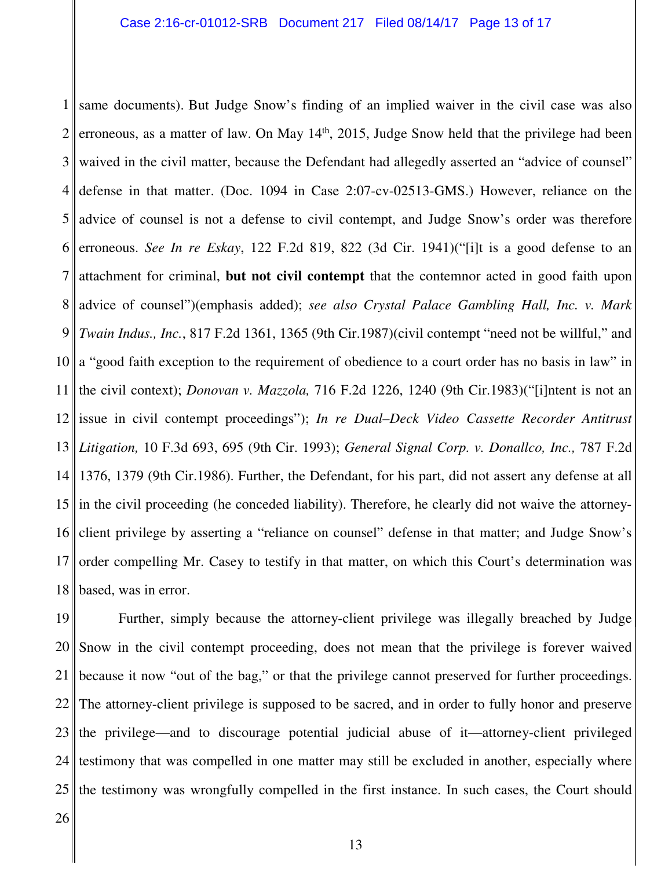1 same documents). But Judge Snow's finding of an implied waiver in the civil case was also 2 3 4 5 6 7 8 9 10 11 12 13 *Litigation,* 10 F.3d 693, 695 (9th Cir. 1993); *General Signal Corp. v. Donallco, Inc.,* 787 F.2d 14 15 16 17 18 erroneous, as a matter of law. On May 14<sup>th</sup>, 2015, Judge Snow held that the privilege had been waived in the civil matter, because the Defendant had allegedly asserted an "advice of counsel" defense in that matter. (Doc. 1094 in Case 2:07-cv-02513-GMS.) However, reliance on the advice of counsel is not a defense to civil contempt, and Judge Snow's order was therefore erroneous. *See In re Eskay*, 122 F.2d 819, 822 (3d Cir. 1941)("[i]t is a good defense to an attachment for criminal, **but not civil contempt** that the contemnor acted in good faith upon advice of counsel")(emphasis added); *see also Crystal Palace Gambling Hall, Inc. v. Mark Twain Indus., Inc.*, 817 F.2d 1361, 1365 (9th Cir.1987)(civil contempt "need not be willful," and a "good faith exception to the requirement of obedience to a court order has no basis in law" in the civil context); *Donovan v. Mazzola,* 716 F.2d 1226, 1240 (9th Cir.1983)("[i]ntent is not an issue in civil contempt proceedings"); *In re Dual–Deck Video Cassette Recorder Antitrust*  1376, 1379 (9th Cir.1986). Further, the Defendant, for his part, did not assert any defense at all in the civil proceeding (he conceded liability). Therefore, he clearly did not waive the attorneyclient privilege by asserting a "reliance on counsel" defense in that matter; and Judge Snow's order compelling Mr. Casey to testify in that matter, on which this Court's determination was based, was in error.

19 20 21 22 23 24 25 Further, simply because the attorney-client privilege was illegally breached by Judge Snow in the civil contempt proceeding, does not mean that the privilege is forever waived because it now "out of the bag," or that the privilege cannot preserved for further proceedings. The attorney-client privilege is supposed to be sacred, and in order to fully honor and preserve the privilege—and to discourage potential judicial abuse of it—attorney-client privileged testimony that was compelled in one matter may still be excluded in another, especially where the testimony was wrongfully compelled in the first instance. In such cases, the Court should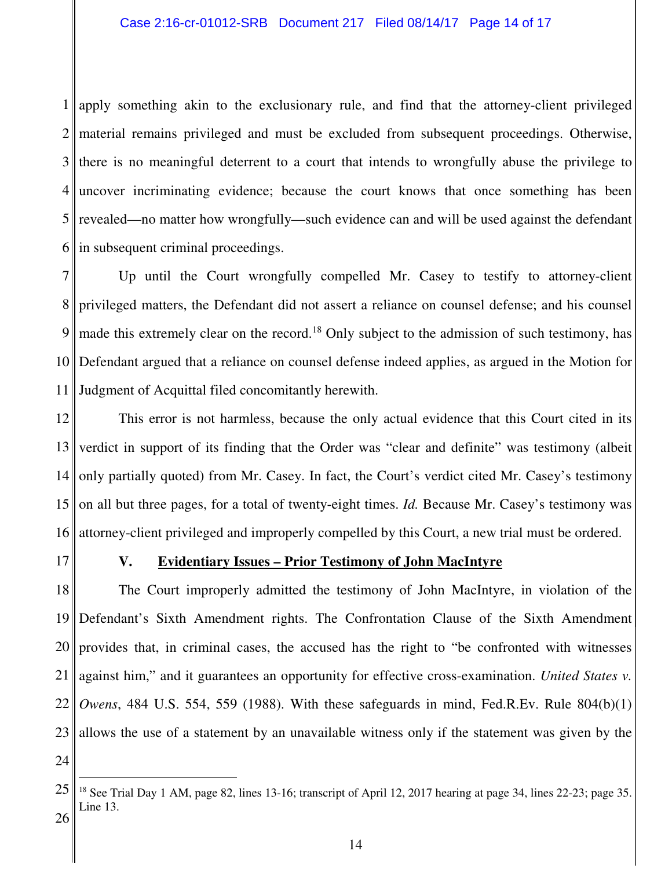1 apply something akin to the exclusionary rule, and find that the attorney-client privileged 2 material remains privileged and must be excluded from subsequent proceedings. Otherwise, 3 4 5 6 there is no meaningful deterrent to a court that intends to wrongfully abuse the privilege to uncover incriminating evidence; because the court knows that once something has been revealed—no matter how wrongfully—such evidence can and will be used against the defendant in subsequent criminal proceedings.

7 8 9 10 11 Judgment of Acquittal filed concomitantly herewith. Up until the Court wrongfully compelled Mr. Casey to testify to attorney-client privileged matters, the Defendant did not assert a reliance on counsel defense; and his counsel made this extremely clear on the record.<sup>18</sup> Only subject to the admission of such testimony, has Defendant argued that a reliance on counsel defense indeed applies, as argued in the Motion for

12 13 14 15 16 This error is not harmless, because the only actual evidence that this Court cited in its verdict in support of its finding that the Order was "clear and definite" was testimony (albeit only partially quoted) from Mr. Casey. In fact, the Court's verdict cited Mr. Casey's testimony on all but three pages, for a total of twenty-eight times. *Id.* Because Mr. Casey's testimony was attorney-client privileged and improperly compelled by this Court, a new trial must be ordered.

17

## **V. Evidentiary Issues – Prior Testimony of John MacIntyre**

18 19 20 21 22 23 The Court improperly admitted the testimony of John MacIntyre, in violation of the Defendant's Sixth Amendment rights. The Confrontation Clause of the Sixth Amendment provides that, in criminal cases, the accused has the right to "be confronted with witnesses against him," and it guarantees an opportunity for effective cross-examination. *United States v. Owens*, 484 U.S. 554, 559 (1988). With these safeguards in mind, Fed.R.Ev. Rule 804(b)(1) allows the use of a statement by an unavailable witness only if the statement was given by the

24

 $\overline{a}$ 

<sup>25</sup> 26 <sup>18</sup> See Trial Day 1 AM, page 82, lines 13-16; transcript of April 12, 2017 hearing at page 34, lines 22-23; page 35. Line 13.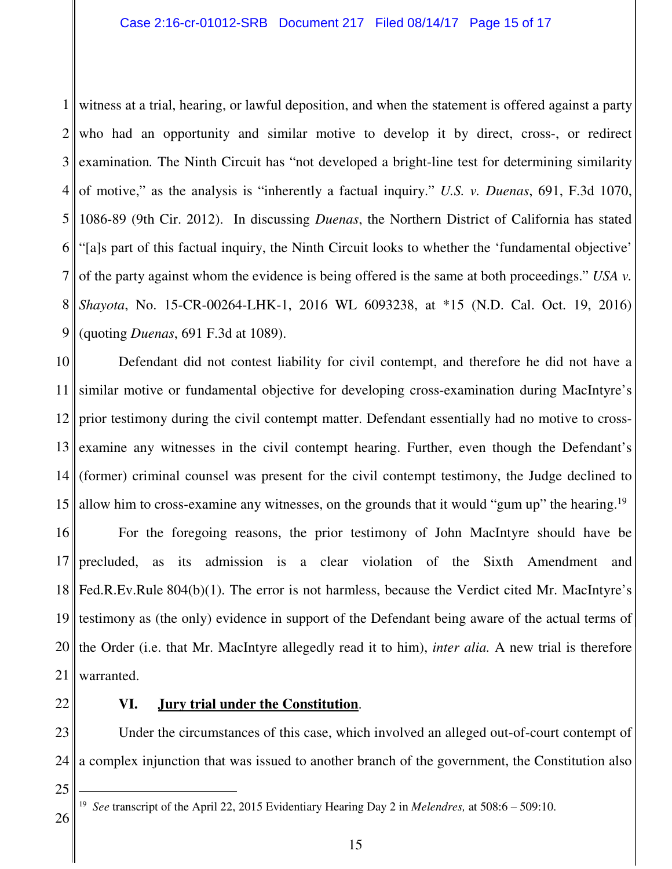1 witness at a trial, hearing, or lawful deposition, and when the statement is offered against a party  $2<sub>1</sub>$ 3<sup>||</sup> 4 5 6 7 8 9 who had an opportunity and similar motive to develop it by direct, cross-, or redirect examination*.* The Ninth Circuit has "not developed a bright-line test for determining similarity of motive," as the analysis is "inherently a factual inquiry." *U.S. v. Duenas*, 691, F.3d 1070, 1086-89 (9th Cir. 2012). In discussing *Duenas*, the Northern District of California has stated "[a]s part of this factual inquiry, the Ninth Circuit looks to whether the 'fundamental objective' of the party against whom the evidence is being offered is the same at both proceedings." *USA v. Shayota*, No. 15-CR-00264-LHK-1, 2016 WL 6093238, at \*15 (N.D. Cal. Oct. 19, 2016) (quoting *Duenas*, 691 F.3d at 1089).

10 11 12 13 14 15 Defendant did not contest liability for civil contempt, and therefore he did not have a similar motive or fundamental objective for developing cross-examination during MacIntyre's prior testimony during the civil contempt matter. Defendant essentially had no motive to crossexamine any witnesses in the civil contempt hearing. Further, even though the Defendant's (former) criminal counsel was present for the civil contempt testimony, the Judge declined to allow him to cross-examine any witnesses, on the grounds that it would "gum up" the hearing.<sup>19</sup>

16 17 18 19 20 21 For the foregoing reasons, the prior testimony of John MacIntyre should have be precluded, as its admission is a clear violation of the Sixth Amendment and Fed.R.Ev.Rule 804(b)(1). The error is not harmless, because the Verdict cited Mr. MacIntyre's testimony as (the only) evidence in support of the Defendant being aware of the actual terms of the Order (i.e. that Mr. MacIntyre allegedly read it to him), *inter alia.* A new trial is therefore warranted.

22

#### **VI. Jury trial under the Constitution**.

23 24 Under the circumstances of this case, which involved an alleged out-of-court contempt of a complex injunction that was issued to another branch of the government, the Constitution also

25

 $\overline{a}$ 

<sup>19</sup> *See* transcript of the April 22, 2015 Evidentiary Hearing Day 2 in *Melendres,* at 508:6 – 509:10.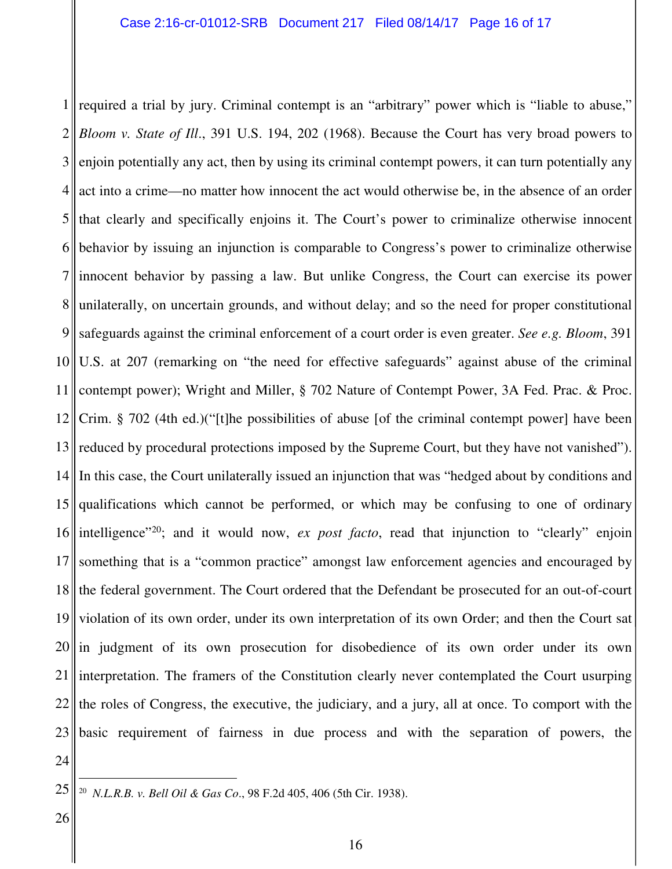1 required a trial by jury. Criminal contempt is an "arbitrary" power which is "liable to abuse,"  $2\parallel$ 3 4 5 6 7 8 9 10 11 12 13 14 15 16 17 18 19 20 21 22 23 *Bloom v. State of Ill*., 391 U.S. 194, 202 (1968). Because the Court has very broad powers to enjoin potentially any act, then by using its criminal contempt powers, it can turn potentially any act into a crime—no matter how innocent the act would otherwise be, in the absence of an order that clearly and specifically enjoins it. The Court's power to criminalize otherwise innocent behavior by issuing an injunction is comparable to Congress's power to criminalize otherwise innocent behavior by passing a law. But unlike Congress, the Court can exercise its power unilaterally, on uncertain grounds, and without delay; and so the need for proper constitutional safeguards against the criminal enforcement of a court order is even greater. *See e.g. Bloom*, 391 U.S. at 207 (remarking on "the need for effective safeguards" against abuse of the criminal contempt power); Wright and Miller, § 702 Nature of Contempt Power, 3A Fed. Prac. & Proc. Crim. § 702 (4th ed.)("[t]he possibilities of abuse [of the criminal contempt power] have been reduced by procedural protections imposed by the Supreme Court, but they have not vanished"). In this case, the Court unilaterally issued an injunction that was "hedged about by conditions and qualifications which cannot be performed, or which may be confusing to one of ordinary intelligence<sup>"20</sup>; and it would now, *ex post facto*, read that injunction to "clearly" enjoin something that is a "common practice" amongst law enforcement agencies and encouraged by the federal government. The Court ordered that the Defendant be prosecuted for an out-of-court violation of its own order, under its own interpretation of its own Order; and then the Court sat in judgment of its own prosecution for disobedience of its own order under its own interpretation. The framers of the Constitution clearly never contemplated the Court usurping the roles of Congress, the executive, the judiciary, and a jury, all at once. To comport with the basic requirement of fairness in due process and with the separation of powers, the

24 25

 $\overline{a}$ 

<sup>20</sup> *N.L.R.B. v. Bell Oil & Gas Co*., 98 F.2d 405, 406 (5th Cir. 1938).